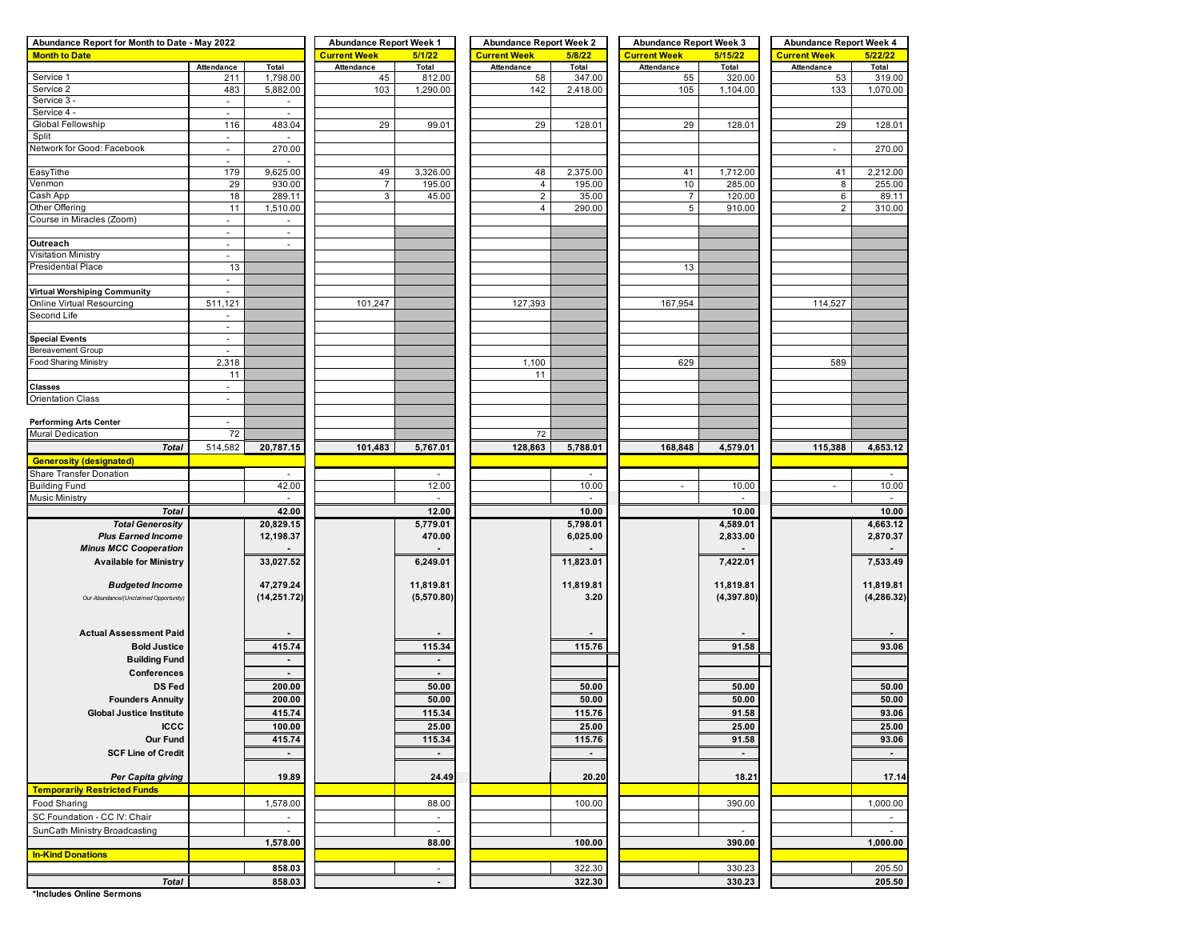| Abundance Report for Month to Date - May 2022 |                          |                                 | <b>Abundance Report Week 1</b> |                          | <b>Abundance Report Week 2</b> |           | <b>Abundance Report Week 3</b> |              | <b>Abundance Report Week 4</b> |             |  |  |
|-----------------------------------------------|--------------------------|---------------------------------|--------------------------------|--------------------------|--------------------------------|-----------|--------------------------------|--------------|--------------------------------|-------------|--|--|
| <b>Month to Date</b>                          |                          |                                 | <b>Current Week</b>            | 5/1/22                   | <b>Current Week</b>            | 5/8/22    | <b>Current Week</b>            | 5/15/22      | <b>Current Week</b>            | 5/22/22     |  |  |
|                                               | Attendance               | Total                           | Attendance                     | Total                    | Attendance                     | Total     | Attendance                     | <b>Total</b> | Attendance                     | Total       |  |  |
| Service 1                                     | 211                      | 1,798.00                        | 45                             | 812.00                   | 58                             | 347.00    | 55                             | 320.00       | 53                             | 319.00      |  |  |
| Service 2                                     | 483                      | 5,882.00                        | 103                            | 1,290.00                 | 142                            | 2,418.00  | 105                            | 1,104.00     | 133                            | 1,070.00    |  |  |
| Service 3 -                                   | $\blacksquare$           |                                 |                                |                          |                                |           |                                |              |                                |             |  |  |
| Service 4 -                                   | $\blacksquare$           | $\sim$                          |                                |                          |                                |           |                                |              |                                |             |  |  |
| Global Fellowship                             |                          |                                 |                                |                          |                                |           |                                |              |                                |             |  |  |
|                                               | 116                      | 483.04                          | 29                             | 99.01                    | 29                             | 128.01    | 29                             | 128.01       | 29                             | 128.01      |  |  |
| Split                                         | ÷,                       |                                 |                                |                          |                                |           |                                |              |                                |             |  |  |
| Network for Good: Facebook                    | $\overline{\phantom{a}}$ | 270.00                          |                                |                          |                                |           |                                |              | $\blacksquare$                 | 270.00      |  |  |
|                                               | $\blacksquare$           |                                 |                                |                          |                                |           |                                |              |                                |             |  |  |
| EasyTithe                                     | 179                      | 9,625.00                        | 49                             | 3,326.00                 | 48                             | 2,375.00  | 41                             | 1,712.00     | 41                             | 2,212.00    |  |  |
| Venmon                                        | 29                       | 930.00                          | $\overline{7}$                 | 195.00                   | $\overline{4}$                 | 195.00    | 10                             | 285.00       | 8                              | 255.00      |  |  |
| Cash App                                      | 18                       | 289.11                          | 3                              | 45.00                    | $\overline{2}$                 | 35.00     | $\overline{7}$                 | 120.00       | 6                              | 89.11       |  |  |
| Other Offering                                | 11                       | 1,510.00                        |                                |                          | $\overline{4}$                 | 290.00    | 5                              | 910.00       | $\overline{2}$                 | 310.00      |  |  |
| Course in Miracles (Zoom)                     | $\overline{\phantom{a}}$ | $\overline{\phantom{a}}$        |                                |                          |                                |           |                                |              |                                |             |  |  |
|                                               | $\omega$                 | $\sim$                          |                                |                          |                                |           |                                |              |                                |             |  |  |
| Outreach                                      | $\overline{\phantom{a}}$ | $\overline{\phantom{a}}$        |                                |                          |                                |           |                                |              |                                |             |  |  |
|                                               |                          |                                 |                                |                          |                                |           |                                |              |                                |             |  |  |
| <b>Visitation Ministry</b>                    | ÷,                       |                                 |                                |                          |                                |           |                                |              |                                |             |  |  |
| <b>Presidential Place</b>                     | 13                       |                                 |                                |                          |                                |           | 13                             |              |                                |             |  |  |
|                                               | $\overline{\phantom{a}}$ |                                 |                                |                          |                                |           |                                |              |                                |             |  |  |
| <b>Virtual Worshiping Community</b>           | $\overline{\phantom{a}}$ |                                 |                                |                          |                                |           |                                |              |                                |             |  |  |
| Online Virtual Resourcing                     | 511,121                  |                                 | 101,247                        |                          | 127,393                        |           | 167,954                        |              | 114,527                        |             |  |  |
| Second Life                                   | $\overline{\phantom{a}}$ |                                 |                                |                          |                                |           |                                |              |                                |             |  |  |
|                                               | $\blacksquare$           |                                 |                                |                          |                                |           |                                |              |                                |             |  |  |
| <b>Special Events</b>                         | $\overline{\phantom{a}}$ |                                 |                                |                          |                                |           |                                |              |                                |             |  |  |
|                                               |                          |                                 |                                |                          |                                |           |                                |              |                                |             |  |  |
| <b>Bereavement Group</b>                      |                          |                                 |                                |                          |                                |           |                                |              |                                |             |  |  |
| Food Sharing Ministry                         | 2,318                    |                                 |                                |                          | 1,100                          |           | 629                            |              | 589                            |             |  |  |
|                                               | 11                       |                                 |                                |                          | 11                             |           |                                |              |                                |             |  |  |
| <b>Classes</b>                                | $\omega$                 |                                 |                                |                          |                                |           |                                |              |                                |             |  |  |
| <b>Orientation Class</b>                      | $\blacksquare$           |                                 |                                |                          |                                |           |                                |              |                                |             |  |  |
|                                               |                          |                                 |                                |                          |                                |           |                                |              |                                |             |  |  |
| <b>Performing Arts Center</b>                 | $\sim$                   |                                 |                                |                          |                                |           |                                |              |                                |             |  |  |
| Mural Dedication                              | 72                       |                                 |                                |                          | 72                             |           |                                |              |                                |             |  |  |
|                                               |                          |                                 |                                |                          |                                |           |                                |              |                                |             |  |  |
| <b>Total</b>                                  | 514,582                  | 20,787.15                       | 101,483                        | 5,767.01                 | 128,863                        | 5,788.01  | 168,848                        | 4,579.01     | 115,388                        | 4,653.12    |  |  |
| <b>Generosity (designated)</b>                |                          |                                 |                                |                          |                                |           |                                |              |                                |             |  |  |
| Share Transfer Donation                       |                          |                                 |                                |                          |                                |           |                                |              |                                |             |  |  |
| <b>Building Fund</b>                          |                          | 42.00                           |                                | 12.00                    |                                | 10.00     | $\overline{\phantom{a}}$       | 10.00        | $\overline{\phantom{a}}$       | 10.00       |  |  |
| <b>Music Ministry</b>                         |                          | $\overline{\phantom{a}}$        |                                | $\overline{\phantom{a}}$ |                                |           |                                |              |                                | $\sim$      |  |  |
| <b>Total</b>                                  |                          | 42.00                           |                                | 12.00                    |                                | 10.00     |                                | 10.00        |                                | 10.00       |  |  |
|                                               |                          |                                 |                                |                          |                                |           |                                |              |                                |             |  |  |
| <b>Total Generosity</b>                       |                          | 20,829.15                       |                                | 5,779.01                 |                                | 5,798.01  |                                | 4,589.01     |                                | 4,663.12    |  |  |
| <b>Plus Earned Income</b>                     |                          | 12,198.37                       |                                | 470.00                   |                                | 6,025.00  |                                | 2,833.00     |                                | 2,870.37    |  |  |
| <b>Minus MCC Cooperation</b>                  |                          |                                 |                                |                          |                                |           |                                |              |                                |             |  |  |
| <b>Available for Ministry</b>                 |                          | 33,027.52                       |                                | 6,249.01                 |                                | 11,823.01 |                                | 7,422.01     |                                | 7,533.49    |  |  |
|                                               |                          |                                 |                                |                          |                                |           |                                |              |                                |             |  |  |
| <b>Budgeted Income</b>                        |                          | 47,279.24                       |                                | 11,819.81                |                                | 11,819.81 |                                | 11,819.81    |                                | 11,819.81   |  |  |
| Our Abundance/(Unclaimed Opportunity)         |                          | (14, 251.72)                    |                                | (5,570.80)               |                                | 3.20      |                                | (4,397.80)   |                                | (4, 286.32) |  |  |
|                                               |                          |                                 |                                |                          |                                |           |                                |              |                                |             |  |  |
|                                               |                          |                                 |                                |                          |                                |           |                                |              |                                |             |  |  |
|                                               |                          |                                 |                                |                          |                                |           |                                |              |                                |             |  |  |
| <b>Actual Assessment Paid</b>                 |                          |                                 |                                |                          |                                |           |                                |              |                                |             |  |  |
| <b>Bold Justice</b>                           |                          | 415.74                          |                                | 115.34                   |                                | 115.76    |                                | 91.58        |                                | 93.06       |  |  |
| <b>Building Fund</b>                          |                          | $\centering \label{eq:reduced}$ |                                | $\blacksquare$           |                                |           |                                |              |                                |             |  |  |
| Conferences                                   |                          | $\blacksquare$                  |                                | $\sim$                   |                                |           |                                |              |                                |             |  |  |
|                                               |                          |                                 |                                |                          |                                |           |                                |              |                                |             |  |  |
| <b>DS Fed</b>                                 |                          | 200.00                          |                                | 50.00                    |                                | 50.00     |                                | 50.00        |                                | 50.00       |  |  |
| <b>Founders Annuity</b>                       |                          | 200.00                          |                                | 50.00                    |                                | 50.00     |                                | 50.00        |                                | 50.00       |  |  |
| <b>Global Justice Institute</b>               |                          | 415.74                          |                                | 115.34                   |                                | 115.76    |                                | 91.58        |                                | 93.06       |  |  |
| <b>ICCC</b>                                   |                          | 100.00                          |                                | 25.00                    |                                | 25.00     |                                | 25.00        |                                | 25.00       |  |  |
|                                               |                          |                                 |                                |                          |                                |           |                                |              |                                |             |  |  |
| Our Fund                                      |                          | 415.74                          |                                | 115.34                   |                                | 115.76    |                                | 91.58        |                                | 93.06       |  |  |
| <b>SCF Line of Credit</b>                     |                          | $\blacksquare$                  |                                | $\sim$                   |                                | $\sim$    |                                | $\sim$       |                                | $\sim$      |  |  |
|                                               |                          |                                 |                                |                          |                                |           |                                |              |                                |             |  |  |
| Per Capita giving                             |                          | 19.89                           |                                | 24.49                    |                                | 20.20     |                                | 18.21        |                                | 17.14       |  |  |
| <b>Temporarily Restricted Funds</b>           |                          |                                 |                                |                          |                                |           |                                |              |                                |             |  |  |
|                                               |                          |                                 |                                |                          |                                |           |                                |              |                                |             |  |  |
| Food Sharing                                  |                          | 1,578.00                        |                                | 88.00                    |                                | 100.00    |                                | 390.00       |                                | 1,000.00    |  |  |
| SC Foundation - CC IV: Chair                  |                          | $\sim$                          |                                | $\sim$                   |                                |           |                                |              |                                | $\sim$      |  |  |
| SunCath Ministry Broadcasting                 |                          | $\sim$                          |                                | $\sim$                   |                                |           |                                | $\sim$       |                                | $\sim$      |  |  |
|                                               |                          | 1,578.00                        |                                | 88.00                    |                                | 100.00    |                                | 390.00       |                                | 1,000.00    |  |  |
|                                               |                          |                                 |                                |                          |                                |           |                                |              |                                |             |  |  |
| <b>In-Kind Donations</b>                      |                          |                                 |                                |                          |                                |           |                                |              |                                |             |  |  |
|                                               |                          | 858.03                          |                                | $\sim$                   |                                | 322.30    |                                | 330.23       |                                | 205.50      |  |  |
| <b>Total</b>                                  |                          | 858.03                          |                                |                          |                                | 322.30    |                                | 330.23       |                                | 205.50      |  |  |

**\*Includes Online Sermons**